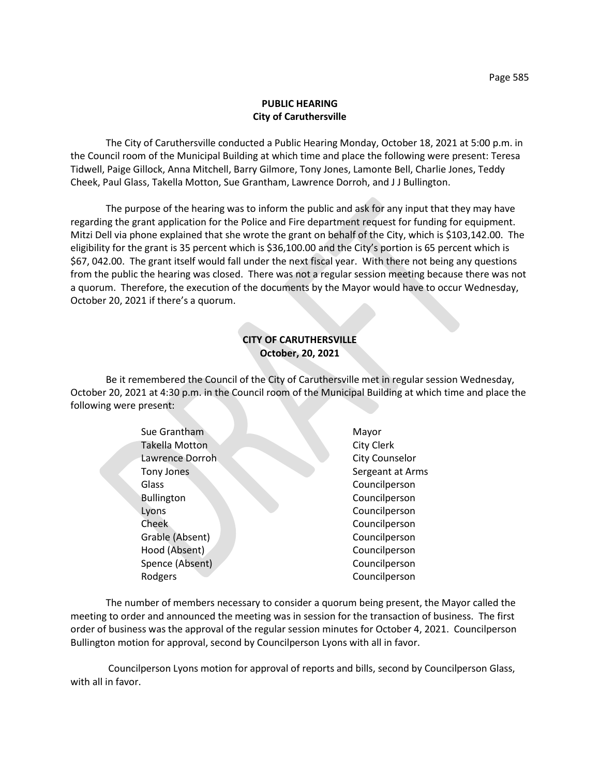## **PUBLIC HEARING City of Caruthersville**

The City of Caruthersville conducted a Public Hearing Monday, October 18, 2021 at 5:00 p.m. in the Council room of the Municipal Building at which time and place the following were present: Teresa Tidwell, Paige Gillock, Anna Mitchell, Barry Gilmore, Tony Jones, Lamonte Bell, Charlie Jones, Teddy Cheek, Paul Glass, Takella Motton, Sue Grantham, Lawrence Dorroh, and J J Bullington.

The purpose of the hearing was to inform the public and ask for any input that they may have regarding the grant application for the Police and Fire department request for funding for equipment. Mitzi Dell via phone explained that she wrote the grant on behalf of the City, which is \$103,142.00. The eligibility for the grant is 35 percent which is \$36,100.00 and the City's portion is 65 percent which is \$67, 042.00. The grant itself would fall under the next fiscal year. With there not being any questions from the public the hearing was closed. There was not a regular session meeting because there was not a quorum. Therefore, the execution of the documents by the Mayor would have to occur Wednesday, October 20, 2021 if there's a quorum.

# **CITY OF CARUTHERSVILLE October, 20, 2021**

Be it remembered the Council of the City of Caruthersville met in regular session Wednesday, October 20, 2021 at 4:30 p.m. in the Council room of the Municipal Building at which time and place the following were present:

| Sue Grantham          | Mayor                 |
|-----------------------|-----------------------|
| <b>Takella Motton</b> | City Clerk            |
| Lawrence Dorroh       | <b>City Counselor</b> |
| <b>Tony Jones</b>     | Sergeant at Arms      |
| Glass                 | Councilperson         |
| <b>Bullington</b>     | Councilperson         |
| Lyons                 | Councilperson         |
| Cheek                 | Councilperson         |
| Grable (Absent)       | Councilperson         |
| Hood (Absent)         | Councilperson         |
| Spence (Absent)       | Councilperson         |
| Rodgers               | Councilperson         |
|                       |                       |

The number of members necessary to consider a quorum being present, the Mayor called the meeting to order and announced the meeting was in session for the transaction of business. The first order of business was the approval of the regular session minutes for October 4, 2021. Councilperson Bullington motion for approval, second by Councilperson Lyons with all in favor.

Councilperson Lyons motion for approval of reports and bills, second by Councilperson Glass, with all in favor.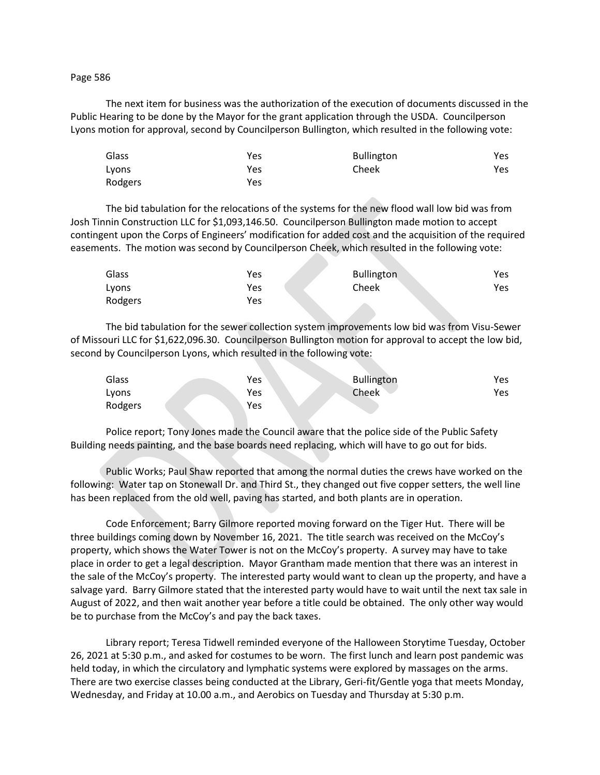#### Page 586

The next item for business was the authorization of the execution of documents discussed in the Public Hearing to be done by the Mayor for the grant application through the USDA. Councilperson Lyons motion for approval, second by Councilperson Bullington, which resulted in the following vote:

| Glass   | Yes | <b>Bullington</b> | Yes |
|---------|-----|-------------------|-----|
| Lyons   | Yes | Cheek             | Yes |
| Rodgers | Yes |                   |     |

The bid tabulation for the relocations of the systems for the new flood wall low bid was from Josh Tinnin Construction LLC for \$1,093,146.50. Councilperson Bullington made motion to accept contingent upon the Corps of Engineers' modification for added cost and the acquisition of the required easements. The motion was second by Councilperson Cheek, which resulted in the following vote:

| Glass   | Yes | <b>Bullington</b> | Yes |
|---------|-----|-------------------|-----|
| Lyons   | Yes | Cheek             | Yes |
| Rodgers | Yes |                   |     |

The bid tabulation for the sewer collection system improvements low bid was from Visu-Sewer of Missouri LLC for \$1,622,096.30. Councilperson Bullington motion for approval to accept the low bid, second by Councilperson Lyons, which resulted in the following vote:

| Glass   | Yes | <b>Bullington</b> | Yes |
|---------|-----|-------------------|-----|
| Lyons   | Yes | Cheek             | Yes |
| Rodgers | Yes |                   |     |

Police report; Tony Jones made the Council aware that the police side of the Public Safety Building needs painting, and the base boards need replacing, which will have to go out for bids.

Public Works; Paul Shaw reported that among the normal duties the crews have worked on the following: Water tap on Stonewall Dr. and Third St., they changed out five copper setters, the well line has been replaced from the old well, paving has started, and both plants are in operation.

Code Enforcement; Barry Gilmore reported moving forward on the Tiger Hut. There will be three buildings coming down by November 16, 2021. The title search was received on the McCoy's property, which shows the Water Tower is not on the McCoy's property. A survey may have to take place in order to get a legal description. Mayor Grantham made mention that there was an interest in the sale of the McCoy's property. The interested party would want to clean up the property, and have a salvage yard. Barry Gilmore stated that the interested party would have to wait until the next tax sale in August of 2022, and then wait another year before a title could be obtained. The only other way would be to purchase from the McCoy's and pay the back taxes.

Library report; Teresa Tidwell reminded everyone of the Halloween Storytime Tuesday, October 26, 2021 at 5:30 p.m., and asked for costumes to be worn. The first lunch and learn post pandemic was held today, in which the circulatory and lymphatic systems were explored by massages on the arms. There are two exercise classes being conducted at the Library, Geri-fit/Gentle yoga that meets Monday, Wednesday, and Friday at 10.00 a.m., and Aerobics on Tuesday and Thursday at 5:30 p.m.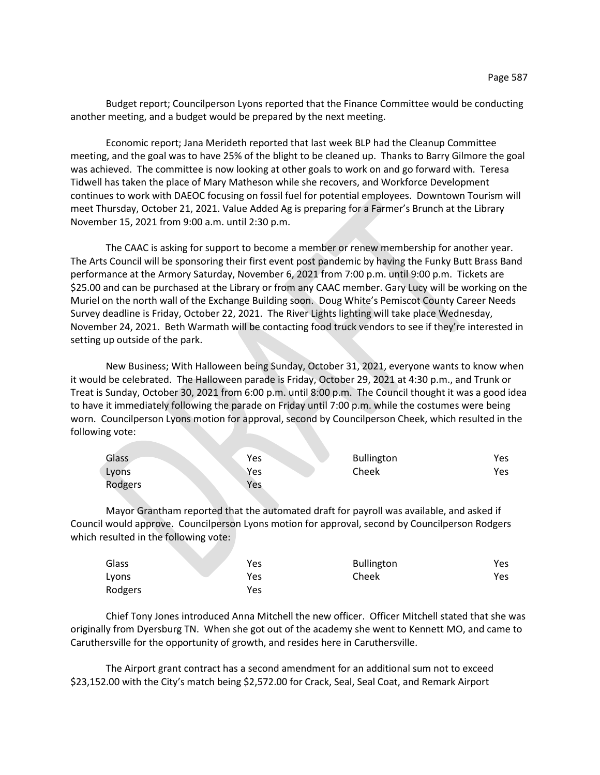Budget report; Councilperson Lyons reported that the Finance Committee would be conducting another meeting, and a budget would be prepared by the next meeting.

Economic report; Jana Merideth reported that last week BLP had the Cleanup Committee meeting, and the goal was to have 25% of the blight to be cleaned up. Thanks to Barry Gilmore the goal was achieved. The committee is now looking at other goals to work on and go forward with. Teresa Tidwell has taken the place of Mary Matheson while she recovers, and Workforce Development continues to work with DAEOC focusing on fossil fuel for potential employees. Downtown Tourism will meet Thursday, October 21, 2021. Value Added Ag is preparing for a Farmer's Brunch at the Library November 15, 2021 from 9:00 a.m. until 2:30 p.m.

The CAAC is asking for support to become a member or renew membership for another year. The Arts Council will be sponsoring their first event post pandemic by having the Funky Butt Brass Band performance at the Armory Saturday, November 6, 2021 from 7:00 p.m. until 9:00 p.m. Tickets are \$25.00 and can be purchased at the Library or from any CAAC member. Gary Lucy will be working on the Muriel on the north wall of the Exchange Building soon. Doug White's Pemiscot County Career Needs Survey deadline is Friday, October 22, 2021. The River Lights lighting will take place Wednesday, November 24, 2021. Beth Warmath will be contacting food truck vendors to see if they're interested in setting up outside of the park.

New Business; With Halloween being Sunday, October 31, 2021, everyone wants to know when it would be celebrated. The Halloween parade is Friday, October 29, 2021 at 4:30 p.m., and Trunk or Treat is Sunday, October 30, 2021 from 6:00 p.m. until 8:00 p.m. The Council thought it was a good idea to have it immediately following the parade on Friday until 7:00 p.m. while the costumes were being worn. Councilperson Lyons motion for approval, second by Councilperson Cheek, which resulted in the following vote:

| Glass   | Yes | <b>Bullington</b> | Yes |
|---------|-----|-------------------|-----|
| Lyons   | Yes | Cheek             | Yes |
| Rodgers | Yes |                   |     |

Mayor Grantham reported that the automated draft for payroll was available, and asked if Council would approve. Councilperson Lyons motion for approval, second by Councilperson Rodgers which resulted in the following vote:

| Glass   | Yes | <b>Bullington</b> | Yes |
|---------|-----|-------------------|-----|
| Lyons   | Yes | Cheek             | Yes |
| Rodgers | Yes |                   |     |

Chief Tony Jones introduced Anna Mitchell the new officer. Officer Mitchell stated that she was originally from Dyersburg TN. When she got out of the academy she went to Kennett MO, and came to Caruthersville for the opportunity of growth, and resides here in Caruthersville.

The Airport grant contract has a second amendment for an additional sum not to exceed \$23,152.00 with the City's match being \$2,572.00 for Crack, Seal, Seal Coat, and Remark Airport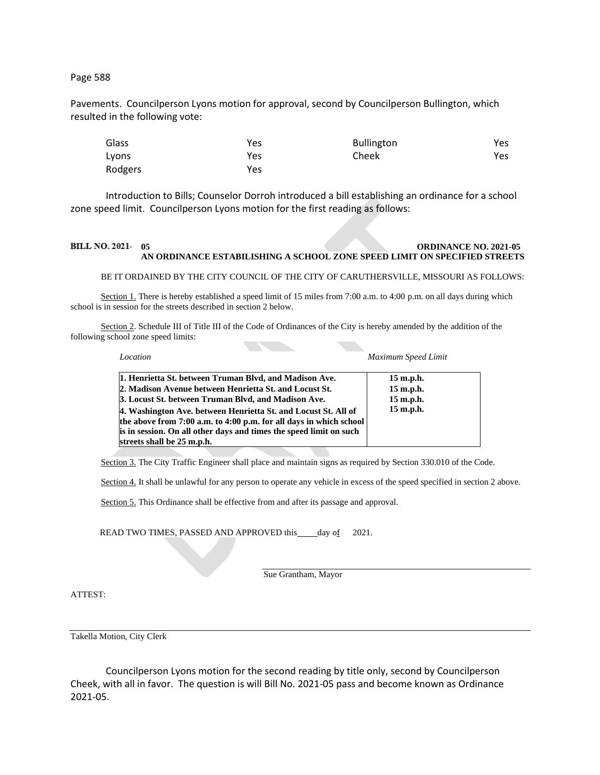#### Page 588

Pavements. Councilperson Lyons motion for approval, second by Councilperson Bullington, which resulted in the following vote:

| Glass   | Yes | <b>Bullington</b> | Yes |
|---------|-----|-------------------|-----|
| Lyons   | Yes | Cheek             | Yes |
| Rodgers | Yes |                   |     |

Introduction to Bills; Counselor Dorroh introduced a bill establishing an ordinance for a school zone speed limit. Councilperson Lyons motion for the first reading as follows:

### **05 ORDINANCE NO. 2021-05** ORDINANCE NO. 2021-05 **AN ORDINANCE ESTABILISHING A SCHOOL ZONE SPEED LIMIT ON SPECIFIED STREETS**

BE IT ORDAINED BY THE CITY COUNCIL OF THE CITY OF CARUTHERSVILLE, MISSOURI AS FOLLOWS:

Section 1. There is hereby established a speed limit of 15 miles from 7:00 a.m. to 4:00 p.m. on all days during which school is in session for the streets described in section 2 below.

Section 2. Schedule III of Title III of the Code of Ordinances of the City is hereby amended by the addition of the following school zone speed limits:

*Location Maximum Speed Limit*

| 1. Henrietta St. between Truman Blvd, and Madison Ave.             | $15$ m.p.h. |
|--------------------------------------------------------------------|-------------|
| 2. Madison Avenue between Henrietta St. and Locust St.             | 15 m.p.h.   |
| 3. Locust St. between Truman Blvd, and Madison Ave.                | 15 m.p.h.   |
| 4. Washington Ave. between Henrietta St. and Locust St. All of     | 15 m.p.h.   |
| the above from 7:00 a.m. to 4:00 p.m. for all days in which school |             |
| is in session. On all other days and times the speed limit on such |             |
| streets shall be 25 m.p.h.                                         |             |

Section 3. The City Traffic Engineer shall place and maintain signs as required by Section 330.010 of the Code.

Section 4. It shall be unlawful for any person to operate any vehicle in excess of the speed specified in section 2 above.

Section 5. This Ordinance shall be effective from and after its passage and approval.

READ TWO TIMES, PASSED AND APPROVED this day of 2021.

Sue Grantham, Mayor

ATTEST:

Takella Motion, City Clerk

Councilperson Lyons motion for the second reading by title only, second by Councilperson Cheek, with all in favor. The question is will Bill No. 2021-05 pass and become known as Ordinance 2021-05.